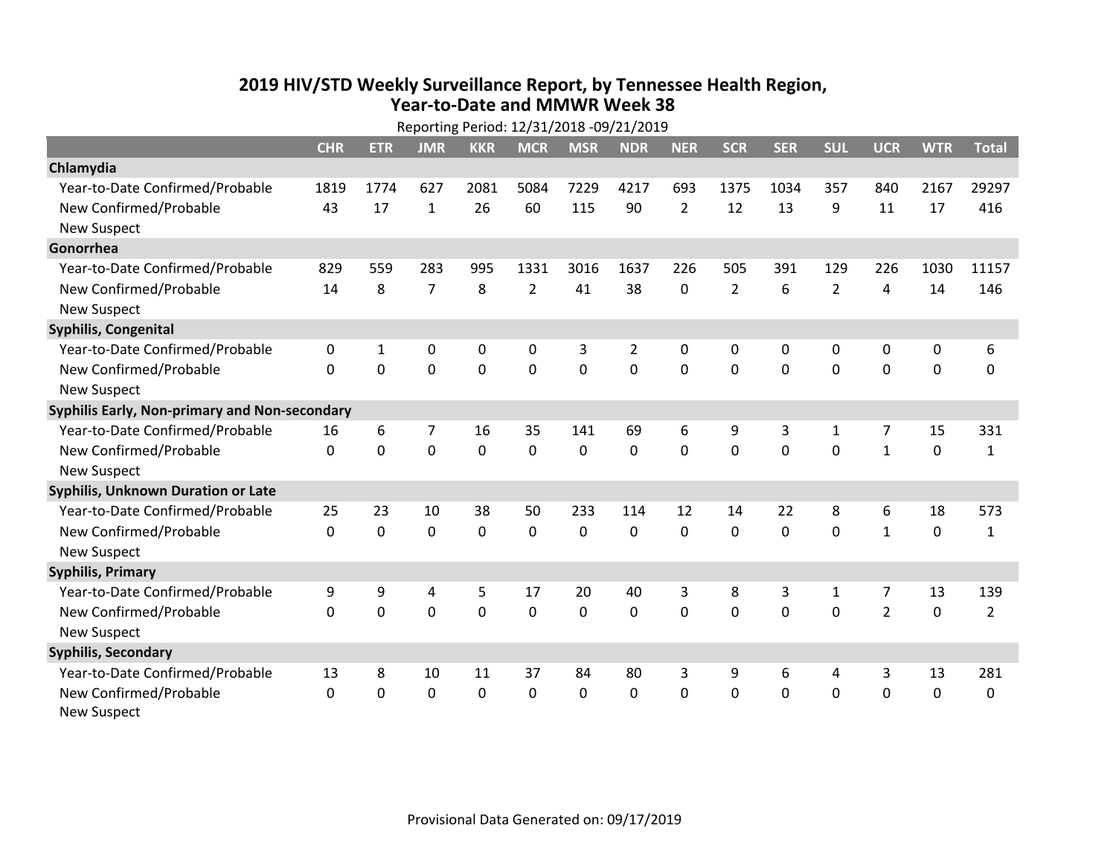## **2019 HIV /STD Weekly Surveillance Report, by Tennessee Health Region, Year‐to‐Date and MMWR Week 38** Reporting Period: 12/31/2018 ‐09/21/2019

| Reporting Period: 12/31/2018 -09/21/2019      |              |              |                |                |                |                |            |                |                |            |                |                |             |                |
|-----------------------------------------------|--------------|--------------|----------------|----------------|----------------|----------------|------------|----------------|----------------|------------|----------------|----------------|-------------|----------------|
|                                               | <b>CHR</b>   | <b>ETR</b>   | <b>JMR</b>     | <b>KKR</b>     | <b>MCR</b>     | <b>MSR</b>     | <b>NDR</b> | <b>NER</b>     | <b>SCR</b>     | <b>SER</b> | <b>SUL</b>     | <b>UCR</b>     | <b>WTR</b>  | <b>Total</b>   |
| Chlamydia                                     |              |              |                |                |                |                |            |                |                |            |                |                |             |                |
| Year-to-Date Confirmed/Probable               | 1819         | 1774         | 627            | 2081           | 5084           | 7229           | 4217       | 693            | 1375           | 1034       | 357            | 840            | 2167        | 29297          |
| New Confirmed/Probable                        | 43           | 17           | $\mathbf{1}$   | 26             | 60             | 115            | 90         | $\overline{2}$ | 12             | 13         | 9              | 11             | 17          | 416            |
| <b>New Suspect</b>                            |              |              |                |                |                |                |            |                |                |            |                |                |             |                |
| Gonorrhea                                     |              |              |                |                |                |                |            |                |                |            |                |                |             |                |
| Year-to-Date Confirmed/Probable               | 829          | 559          | 283            | 995            | 1331           | 3016           | 1637       | 226            | 505            | 391        | 129            | 226            | 1030        | 11157          |
| New Confirmed/Probable                        | 14           | 8            | $\overline{7}$ | 8              | $\overline{2}$ | 41             | 38         | $\mathbf 0$    | $\overline{2}$ | 6          | $\overline{2}$ | 4              | 14          | 146            |
| <b>New Suspect</b>                            |              |              |                |                |                |                |            |                |                |            |                |                |             |                |
| <b>Syphilis, Congenital</b>                   |              |              |                |                |                |                |            |                |                |            |                |                |             |                |
| Year-to-Date Confirmed/Probable               | 0            | $\mathbf{1}$ | 0              | 0              | $\mathbf 0$    | 3              | 2          | 0              | $\mathbf{0}$   | 0          | 0              | 0              | 0           | 6              |
| New Confirmed/Probable                        | $\Omega$     | 0            | $\mathbf 0$    | 0              | $\mathbf 0$    | $\overline{0}$ | 0          | $\Omega$       | $\Omega$       | 0          | 0              | 0              | $\mathbf 0$ | 0              |
| <b>New Suspect</b>                            |              |              |                |                |                |                |            |                |                |            |                |                |             |                |
| Syphilis Early, Non-primary and Non-secondary |              |              |                |                |                |                |            |                |                |            |                |                |             |                |
| Year-to-Date Confirmed/Probable               | 16           | 6            | 7              | 16             | 35             | 141            | 69         | 6              | 9              | 3          | 1              | 7              | 15          | 331            |
| New Confirmed/Probable                        | 0            | 0            | $\overline{0}$ | $\overline{0}$ | $\mathbf 0$    | 0              | 0          | $\Omega$       | $\Omega$       | $\Omega$   | $\mathbf 0$    | $\mathbf{1}$   | $\mathbf 0$ | $\mathbf{1}$   |
| <b>New Suspect</b>                            |              |              |                |                |                |                |            |                |                |            |                |                |             |                |
| <b>Syphilis, Unknown Duration or Late</b>     |              |              |                |                |                |                |            |                |                |            |                |                |             |                |
| Year-to-Date Confirmed/Probable               | 25           | 23           | 10             | 38             | 50             | 233            | 114        | 12             | 14             | 22         | 8              | 6              | 18          | 573            |
| New Confirmed/Probable                        | $\mathbf 0$  | $\mathbf 0$  | 0              | 0              | $\mathbf 0$    | $\mathbf 0$    | $\Omega$   | $\Omega$       | $\Omega$       | $\Omega$   | $\Omega$       | $\mathbf{1}$   | $\mathbf 0$ | $\mathbf{1}$   |
| <b>New Suspect</b>                            |              |              |                |                |                |                |            |                |                |            |                |                |             |                |
| <b>Syphilis, Primary</b>                      |              |              |                |                |                |                |            |                |                |            |                |                |             |                |
| Year-to-Date Confirmed/Probable               | 9            | 9            | 4              | 5              | 17             | 20             | 40         | 3              | 8              | 3          | $\mathbf{1}$   | 7              | 13          | 139            |
| New Confirmed/Probable                        | 0            | 0            | 0              | $\overline{0}$ | $\mathbf 0$    | $\mathbf 0$    | 0          | $\Omega$       | $\Omega$       | $\Omega$   | $\Omega$       | $\overline{2}$ | $\mathbf 0$ | $\overline{2}$ |
| <b>New Suspect</b>                            |              |              |                |                |                |                |            |                |                |            |                |                |             |                |
| <b>Syphilis, Secondary</b>                    |              |              |                |                |                |                |            |                |                |            |                |                |             |                |
| Year-to-Date Confirmed/Probable               | 13           | 8            | 10             | 11             | 37             | 84             | 80         | 3              | 9              | 6          | 4              | 3              | 13          | 281            |
| New Confirmed/Probable                        | $\mathbf{0}$ | 0            | 0              | 0              | $\mathbf 0$    | 0              | 0          | $\mathbf 0$    | $\Omega$       | 0          | 0              | $\mathbf 0$    | $\mathbf 0$ | 0              |
| <b>New Suspect</b>                            |              |              |                |                |                |                |            |                |                |            |                |                |             |                |